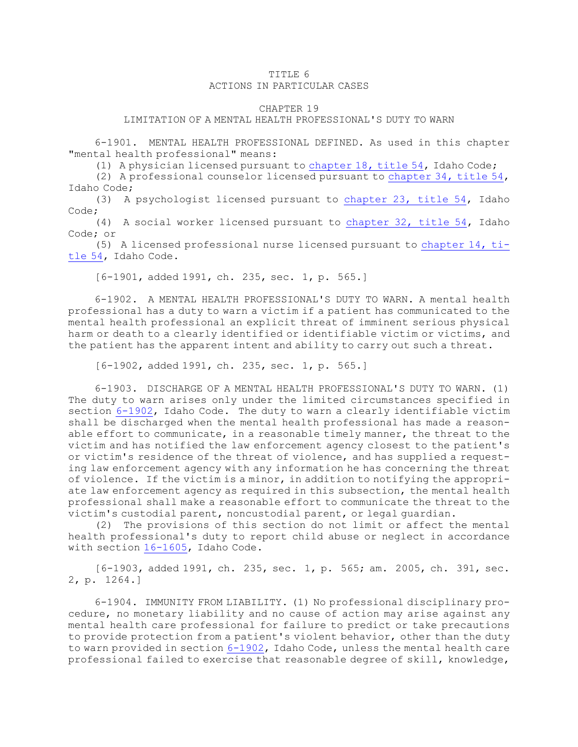## TITLE 6 ACTIONS IN PARTICULAR CASES

## CHAPTER 19

## LIMITATION OF A MENTAL HEALTH PROFESSIONAL'S DUTY TO WARN

6-1901. MENTAL HEALTH PROFESSIONAL DEFINED. As used in this chapter "mental health professional" means:

(1) <sup>A</sup> physician licensed pursuant to [chapter](https://legislature.idaho.gov/statutesrules/idstat/Title54/T54CH18) 18, title 54, Idaho Code;

(2) <sup>A</sup> professional counselor licensed pursuant to [chapter](https://legislature.idaho.gov/statutesrules/idstat/Title54/T54CH34) 34, title 54, Idaho Code;

(3) <sup>A</sup> psychologist licensed pursuant to [chapter](https://legislature.idaho.gov/statutesrules/idstat/Title54/T54CH23) 23, title 54, Idaho Code;

(4) <sup>A</sup> social worker licensed pursuant to [chapter](https://legislature.idaho.gov/statutesrules/idstat/Title54/T54CH32) 32, title 54, Idaho Code; or

(5) <sup>A</sup> licensed professional nurse licensed pursuant to [chapter](https://legislature.idaho.gov/statutesrules/idstat/Title54/T54CH14) 14, ti[tle](https://legislature.idaho.gov/statutesrules/idstat/Title54/T54CH14) 54, Idaho Code.

[6-1901, added 1991, ch. 235, sec. 1, p. 565.]

6-1902. A MENTAL HEALTH PROFESSIONAL'S DUTY TO WARN. A mental health professional has <sup>a</sup> duty to warn <sup>a</sup> victim if <sup>a</sup> patient has communicated to the mental health professional an explicit threat of imminent serious physical harm or death to <sup>a</sup> clearly identified or identifiable victim or victims, and the patient has the apparent intent and ability to carry out such <sup>a</sup> threat.

[6-1902, added 1991, ch. 235, sec. 1, p. 565.]

6-1903. DISCHARGE OF A MENTAL HEALTH PROFESSIONAL'S DUTY TO WARN. (1) The duty to warn arises only under the limited circumstances specified in section [6-1902](https://legislature.idaho.gov/statutesrules/idstat/Title6/T6CH19/SECT6-1902), Idaho Code. The duty to warn <sup>a</sup> clearly identifiable victim shall be discharged when the mental health professional has made <sup>a</sup> reasonable effort to communicate, in <sup>a</sup> reasonable timely manner, the threat to the victim and has notified the law enforcement agency closest to the patient's or victim's residence of the threat of violence, and has supplied <sup>a</sup> requesting law enforcement agency with any information he has concerning the threat of violence. If the victim is <sup>a</sup> minor, in addition to notifying the appropriate law enforcement agency as required in this subsection, the mental health professional shall make <sup>a</sup> reasonable effort to communicate the threat to the victim's custodial parent, noncustodial parent, or legal guardian.

(2) The provisions of this section do not limit or affect the mental health professional's duty to report child abuse or neglect in accordance with section [16-1605](https://legislature.idaho.gov/statutesrules/idstat/Title16/T16CH16/SECT16-1605), Idaho Code.

[6-1903, added 1991, ch. 235, sec. 1, p. 565; am. 2005, ch. 391, sec. 2, p. 1264.]

6-1904. IMMUNITY FROM LIABILITY. (1) No professional disciplinary procedure, no monetary liability and no cause of action may arise against any mental health care professional for failure to predict or take precautions to provide protection from <sup>a</sup> patient's violent behavior, other than the duty to warn provided in section [6-1902](https://legislature.idaho.gov/statutesrules/idstat/Title6/T6CH19/SECT6-1902), Idaho Code, unless the mental health care professional failed to exercise that reasonable degree of skill, knowledge,